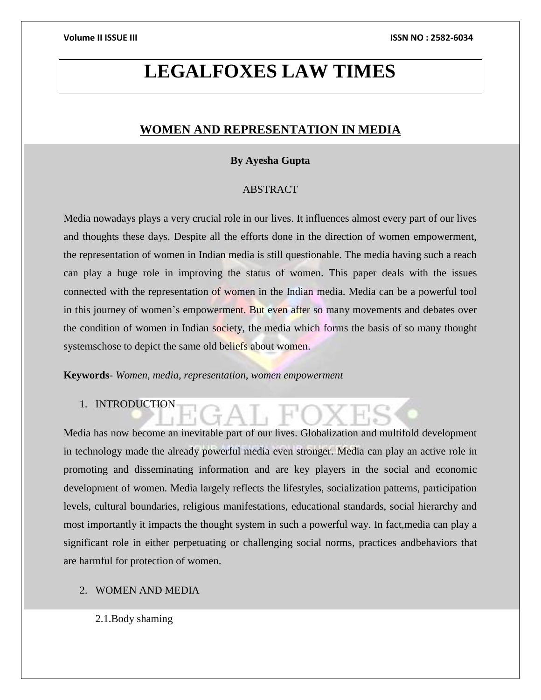# **LEGALFOXES LAW TIMES**

# **WOMEN AND REPRESENTATION IN MEDIA**

# **By Ayesha Gupta**

# ABSTRACT

Media nowadays plays a very crucial role in our lives. It influences almost every part of our lives and thoughts these days. Despite all the efforts done in the direction of women empowerment, the representation of women in Indian media is still questionable. The media having such a reach can play a huge role in improving the status of women. This paper deals with the issues connected with the representation of women in the Indian media. Media can be a powerful tool in this journey of women's empowerment. But even after so many movements and debates over the condition of women in Indian society, the media which forms the basis of so many thought systemschose to depict the same old beliefs about women.

**Keywords**- *Women, media, representation, women empowerment*

1. INTRODUCTION

Media has now become an inevitable part of our lives. Globalization and multifold development in technology made the already powerful media even stronger. Media can play an active role in promoting and disseminating information and are key players in the social and economic development of women. Media largely reflects the lifestyles, socialization patterns, participation levels, cultural boundaries, religious manifestations, educational standards, social hierarchy and most importantly it impacts the thought system in such a powerful way. In fact,media can play a significant role in either perpetuating or challenging social norms, practices andbehaviors that are harmful for protection of women.

- 2. WOMEN AND MEDIA
	- 2.1.Body shaming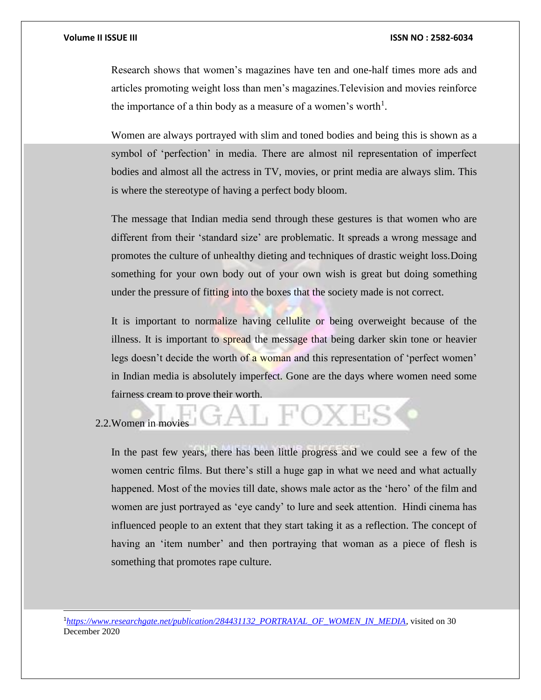Research shows that women's magazines have ten and one-half times more ads and articles promoting weight loss than men's magazines.Television and movies reinforce the importance of a thin body as a measure of a women's worth<sup>1</sup>.

Women are always portrayed with slim and toned bodies and being this is shown as a symbol of 'perfection' in media. There are almost nil representation of imperfect bodies and almost all the actress in TV, movies, or print media are always slim. This is where the stereotype of having a perfect body bloom.

The message that Indian media send through these gestures is that women who are different from their 'standard size' are problematic. It spreads a wrong message and promotes the culture of unhealthy dieting and techniques of drastic weight loss.Doing something for your own body out of your own wish is great but doing something under the pressure of fitting into the boxes that the society made is not correct.

It is important to normalize having cellulite or being overweight because of the illness. It is important to spread the message that being darker skin tone or heavier legs doesn't decide the worth of a woman and this representation of 'perfect women' in Indian media is absolutely imperfect. Gone are the days where women need some fairness cream to prove their worth.

L FOXE

# 2.2.Women in movies

 $\overline{a}$ 

In the past few years, there has been little progress and we could see a few of the women centric films. But there's still a huge gap in what we need and what actually happened. Most of the movies till date, shows male actor as the 'hero' of the film and women are just portrayed as 'eye candy' to lure and seek attention. Hindi cinema has influenced people to an extent that they start taking it as a reflection. The concept of having an 'item number' and then portraying that woman as a piece of flesh is something that promotes rape culture.

<sup>1</sup>*[https://www.researchgate.net/publication/284431132\\_PORTRAYAL\\_OF\\_WOMEN\\_IN\\_MEDIA,](https://www.researchgate.net/publication/284431132_PORTRAYAL_OF_WOMEN_IN_MEDIA)* visited on 30 December 2020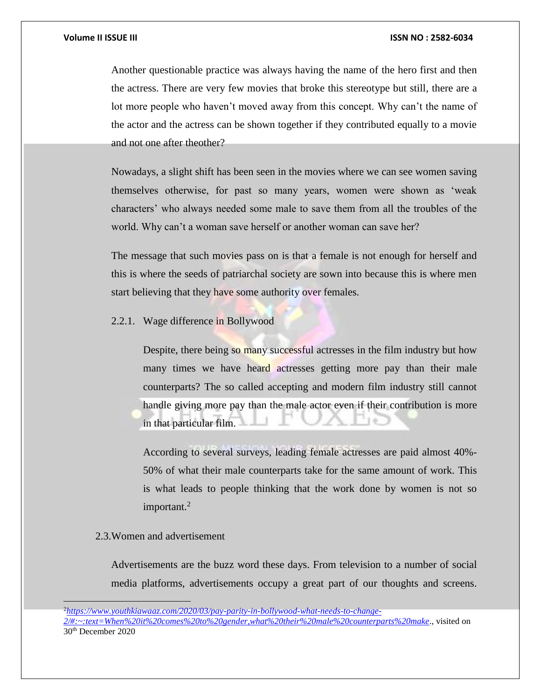Another questionable practice was always having the name of the hero first and then the actress. There are very few movies that broke this stereotype but still, there are a lot more people who haven't moved away from this concept. Why can't the name of the actor and the actress can be shown together if they contributed equally to a movie and not one after theother?

Nowadays, a slight shift has been seen in the movies where we can see women saving themselves otherwise, for past so many years, women were shown as 'weak characters' who always needed some male to save them from all the troubles of the world. Why can't a woman save herself or another woman can save her?

The message that such movies pass on is that a female is not enough for herself and this is where the seeds of patriarchal society are sown into because this is where men start believing that they have some authority over females.

2.2.1. Wage difference in Bollywood

Despite, there being so many successful actresses in the film industry but how many times we have heard actresses getting more pay than their male counterparts? The so called accepting and modern film industry still cannot handle giving more pay than the male actor even if their contribution is more in that particular film.

According to several surveys, leading female actresses are paid almost 40%- 50% of what their male counterparts take for the same amount of work. This is what leads to people thinking that the work done by women is not so important.<sup>2</sup>

### 2.3.Women and advertisement

 $\overline{a}$ 

Advertisements are the buzz word these days. From television to a number of social media platforms, advertisements occupy a great part of our thoughts and screens.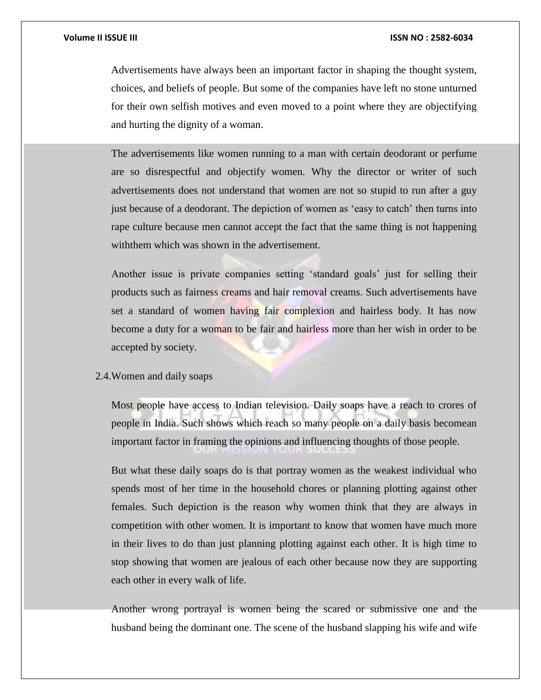Advertisements have always been an important factor in shaping the thought system, choices, and beliefs of people. But some of the companies have left no stone unturned for their own selfish motives and even moved to a point where they are objectifying and hurting the dignity of a woman.

The advertisements like women running to a man with certain deodorant or perfume are so disrespectful and objectify women. Why the director or writer of such advertisements does not understand that women are not so stupid to run after a guy just because of a deodorant. The depiction of women as 'easy to catch' then turns into rape culture because men cannot accept the fact that the same thing is not happening withthem which was shown in the advertisement.

Another issue is private companies setting 'standard goals' just for selling their products such as fairness creams and hair removal creams. Such advertisements have set a standard of women having fair complexion and hairless body. It has now become a duty for a woman to be fair and hairless more than her wish in order to be accepted by society.

# 2.4.Women and daily soaps

Most people have access to Indian television. Daily soaps have a reach to crores of people in India. Such shows which reach so many people on a daily basis becomean important factor in framing the opinions and influencing thoughts of those people.

But what these daily soaps do is that portray women as the weakest individual who spends most of her time in the household chores or planning plotting against other females. Such depiction is the reason why women think that they are always in competition with other women. It is important to know that women have much more in their lives to do than just planning plotting against each other. It is high time to stop showing that women are jealous of each other because now they are supporting each other in every walk of life.

Another wrong portrayal is women being the scared or submissive one and the husband being the dominant one. The scene of the husband slapping his wife and wife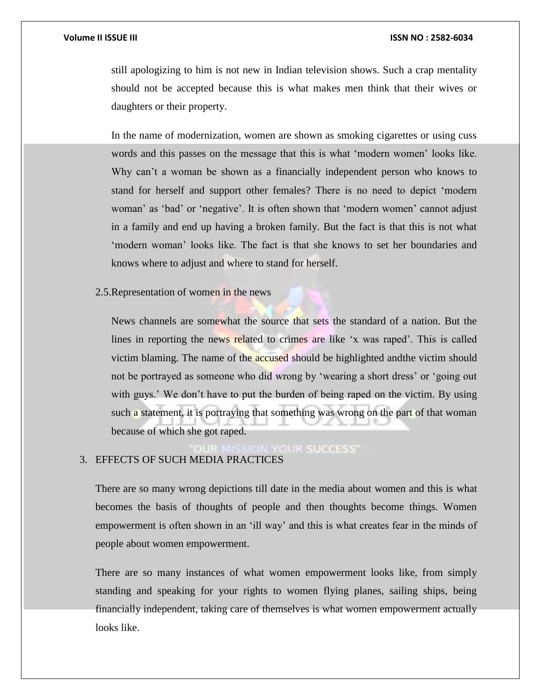still apologizing to him is not new in Indian television shows. Such a crap mentality should not be accepted because this is what makes men think that their wives or daughters or their property.

In the name of modernization, women are shown as smoking cigarettes or using cuss words and this passes on the message that this is what 'modern women' looks like. Why can't a woman be shown as a financially independent person who knows to stand for herself and support other females? There is no need to depict 'modern woman' as 'bad' or 'negative'. It is often shown that 'modern women' cannot adjust in a family and end up having a broken family. But the fact is that this is not what 'modern woman' looks like. The fact is that she knows to set her boundaries and knows where to adjust and where to stand for herself.

# 2.5.Representation of women in the news

News channels are somewhat the source that sets the standard of a nation. But the lines in reporting the news related to crimes are like 'x was raped'. This is called victim blaming. The name of the accused should be highlighted and the victim should not be portrayed as someone who did wrong by 'wearing a short dress' or 'going out with guys.' We don't have to put the burden of being raped on the victim. By using such a statement, it is portraying that something was wrong on the part of that woman because of which she got raped.

**OUR SUCCESS** 

# 3. EFFECTS OF SUCH MEDIA PRACTICES

There are so many wrong depictions till date in the media about women and this is what becomes the basis of thoughts of people and then thoughts become things. Women empowerment is often shown in an 'ill way' and this is what creates fear in the minds of people about women empowerment.

There are so many instances of what women empowerment looks like, from simply standing and speaking for your rights to women flying planes, sailing ships, being financially independent, taking care of themselves is what women empowerment actually looks like.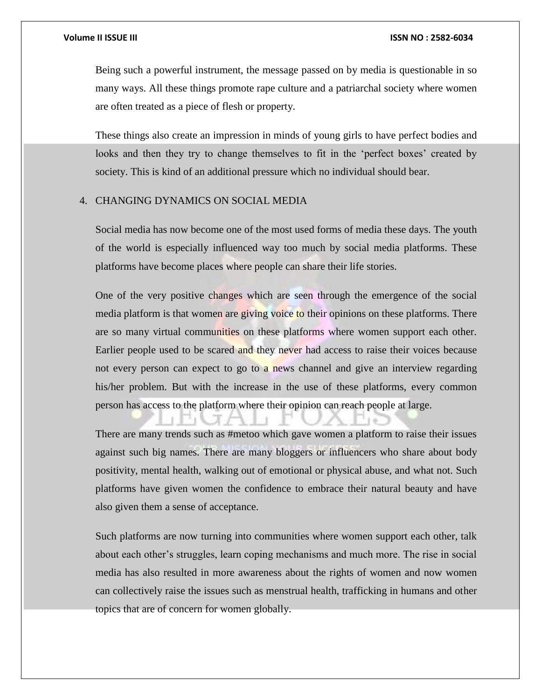Being such a powerful instrument, the message passed on by media is questionable in so many ways. All these things promote rape culture and a patriarchal society where women are often treated as a piece of flesh or property.

These things also create an impression in minds of young girls to have perfect bodies and looks and then they try to change themselves to fit in the 'perfect boxes' created by society. This is kind of an additional pressure which no individual should bear.

## 4. CHANGING DYNAMICS ON SOCIAL MEDIA

Social media has now become one of the most used forms of media these days. The youth of the world is especially influenced way too much by social media platforms. These platforms have become places where people can share their life stories.

One of the very positive changes which are seen through the emergence of the social media platform is that women are giving voice to their opinions on these platforms. There are so many virtual communities on these platforms where women support each other. Earlier people used to be scared and they never had access to raise their voices because not every person can expect to go to a news channel and give an interview regarding his/her problem. But with the increase in the use of these platforms, every common person has access to the platform where their opinion can reach people at large.

There are many trends such as #metoo which gave women a platform to raise their issues against such big names. There are many bloggers or influencers who share about body positivity, mental health, walking out of emotional or physical abuse, and what not. Such platforms have given women the confidence to embrace their natural beauty and have also given them a sense of acceptance.

Such platforms are now turning into communities where women support each other, talk about each other's struggles, learn coping mechanisms and much more. The rise in social media has also resulted in more awareness about the rights of women and now women can collectively raise the issues such as menstrual health, trafficking in humans and other topics that are of concern for women globally.